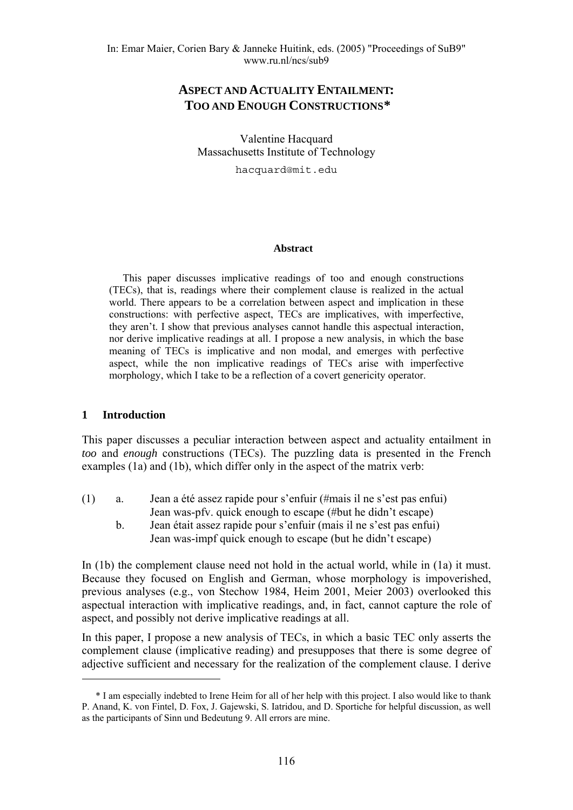Valentine Hacquard Massachusetts Institute of Technology

hacquard@mit.edu

#### **Abstract**

This paper discusses implicative readings of too and enough constructions (TECs), that is, readings where their complement clause is realized in the actual world. There appears to be a correlation between aspect and implication in these constructions: with perfective aspect, TECs are implicatives, with imperfective, they aren't. I show that previous analyses cannot handle this aspectual interaction, nor derive implicative readings at all. I propose a new analysis, in which the base meaning of TECs is implicative and non modal, and emerges with perfective aspect, while the non implicative readings of TECs arise with imperfective morphology, which I take to be a reflection of a covert genericity operator.

#### **1 Introduction**

1

This paper discusses a peculiar interaction between aspect and actuality entailment in *too* and *enough* constructions (TECs). The puzzling data is presented in the French examples (1a) and (1b), which differ only in the aspect of the matrix verb:

- (1) a. Jean a été assez rapide pour s'enfuir (#mais il ne s'est pas enfui) Jean was-pfv. quick enough to escape (#but he didn't escape)
	- b. Jean était assez rapide pour s'enfuir (mais il ne s'est pas enfui) Jean was-impf quick enough to escape (but he didn't escape)

In (1b) the complement clause need not hold in the actual world, while in (1a) it must. Because they focused on English and German, whose morphology is impoverished, previous analyses (e.g., von Stechow 1984, Heim 2001, Meier 2003) overlooked this aspectual interaction with implicative readings, and, in fact, cannot capture the role of aspect, and possibly not derive implicative readings at all.

In this paper, I propose a new analysis of TECs, in which a basic TEC only asserts the complement clause (implicative reading) and presupposes that there is some degree of adjective sufficient and necessary for the realization of the complement clause. I derive

<span id="page-0-0"></span><sup>\*</sup> I am especially indebted to Irene Heim for all of her help with this project. I also would like to thank P. Anand, K. von Fintel, D. Fox, J. Gajewski, S. Iatridou, and D. Sportiche for helpful discussion, as well as the participants of Sinn und Bedeutung 9. All errors are mine.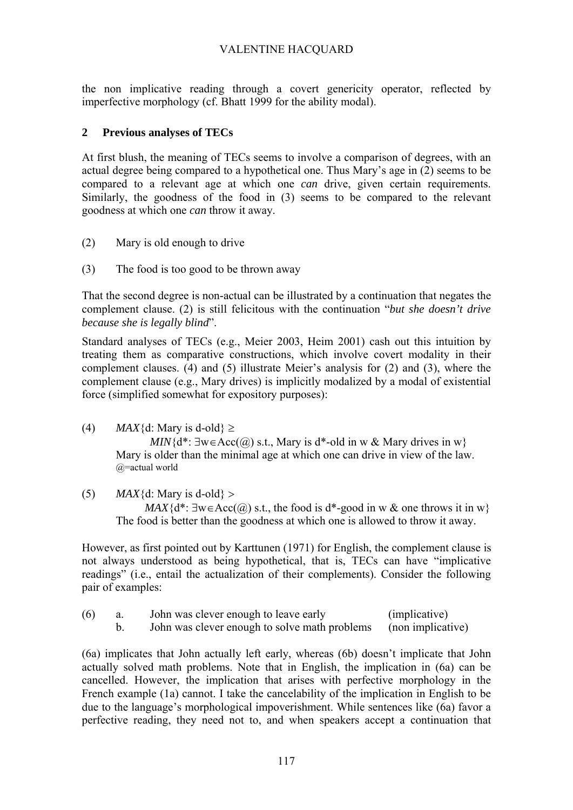the non implicative reading through a covert genericity operator, reflected by imperfective morphology (cf. Bhatt 1999 for the ability modal).

### **2 Previous analyses of TECs**

At first blush, the meaning of TECs seems to involve a comparison of degrees, with an actual degree being compared to a hypothetical one. Thus Mary's age in (2) seems to be compared to a relevant age at which one *can* drive, given certain requirements. Similarly, the goodness of the food in (3) seems to be compared to the relevant goodness at which one *can* throw it away.

- (2) Mary is old enough to drive
- (3) The food is too good to be thrown away

That the second degree is non-actual can be illustrated by a continuation that negates the complement clause. (2) is still felicitous with the continuation "*but she doesn't drive because she is legally blind*".

Standard analyses of TECs (e.g., Meier 2003, Heim 2001) cash out this intuition by treating them as comparative constructions, which involve covert modality in their complement clauses. (4) and (5) illustrate Meier's analysis for (2) and (3), where the complement clause (e.g., Mary drives) is implicitly modalized by a modal of existential force (simplified somewhat for expository purposes):

(4) *MAX*{d: Mary is d-old}  $\ge$ 

*MIN*{ $d^*$ : ∃w∈Acc(@) s.t., Mary is  $d^*$ -old in w & Mary drives in w} Mary is older than the minimal age at which one can drive in view of the law. @=actual world

(5) *MAX*{d: Mary is d-old} >

*MAX*{ $d^*$ :  $\exists w \in Acc(a)$  s.t., the food is  $d^*$ -good in w & one throws it in w} The food is better than the goodness at which one is allowed to throw it away.

However, as first pointed out by Karttunen (1971) for English, the complement clause is not always understood as being hypothetical, that is, TECs can have "implicative readings" (i.e., entail the actualization of their complements). Consider the following pair of examples:

| (6) | John was clever enough to leave early                           | (implicative) |
|-----|-----------------------------------------------------------------|---------------|
|     | John was clever enough to solve math problems (non implicative) |               |

(6a) implicates that John actually left early, whereas (6b) doesn't implicate that John actually solved math problems. Note that in English, the implication in (6a) can be cancelled. However, the implication that arises with perfective morphology in the French example (1a) cannot. I take the cancelability of the implication in English to be due to the language's morphological impoverishment. While sentences like (6a) favor a perfective reading, they need not to, and when speakers accept a continuation that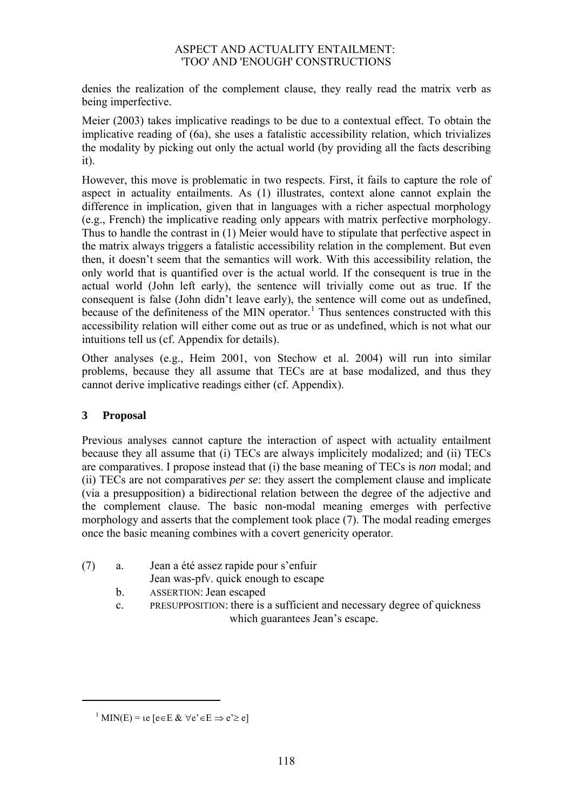denies the realization of the complement clause, they really read the matrix verb as being imperfective.

Meier (2003) takes implicative readings to be due to a contextual effect. To obtain the implicative reading of (6a), she uses a fatalistic accessibility relation, which trivializes the modality by picking out only the actual world (by providing all the facts describing it).

However, this move is problematic in two respects. First, it fails to capture the role of aspect in actuality entailments. As (1) illustrates, context alone cannot explain the difference in implication, given that in languages with a richer aspectual morphology (e.g., French) the implicative reading only appears with matrix perfective morphology. Thus to handle the contrast in (1) Meier would have to stipulate that perfective aspect in the matrix always triggers a fatalistic accessibility relation in the complement. But even then, it doesn't seem that the semantics will work. With this accessibility relation, the only world that is quantified over is the actual world. If the consequent is true in the actual world (John left early), the sentence will trivially come out as true. If the consequent is false (John didn't leave early), the sentence will come out as undefined, because of the definiteness of the MIN operator.<sup>[1](#page-2-0)</sup> Thus sentences constructed with this accessibility relation will either come out as true or as undefined, which is not what our intuitions tell us (cf. Appendix for details).

Other analyses (e.g., Heim 2001, von Stechow et al. 2004) will run into similar problems, because they all assume that TECs are at base modalized, and thus they cannot derive implicative readings either (cf. Appendix).

## **3 Proposal**

<span id="page-2-0"></span>1

Previous analyses cannot capture the interaction of aspect with actuality entailment because they all assume that (i) TECs are always implicitely modalized; and (ii) TECs are comparatives. I propose instead that (i) the base meaning of TECs is *non* modal; and (ii) TECs are not comparatives *per se*: they assert the complement clause and implicate (via a presupposition) a bidirectional relation between the degree of the adjective and the complement clause. The basic non-modal meaning emerges with perfective morphology and asserts that the complement took place (7). The modal reading emerges once the basic meaning combines with a covert genericity operator.

(7) a. Jean a été assez rapide pour s'enfuir

Jean was-pfv. quick enough to escape

- b. ASSERTION: Jean escaped
- c. PRESUPPOSITION: there is a sufficient and necessary degree of quickness which guarantees Jean's escape.

 $1$  MIN(E) = ιe [e ∈ E &  $\forall$  e' ∈ E  $\Rightarrow$  e' ≥ e]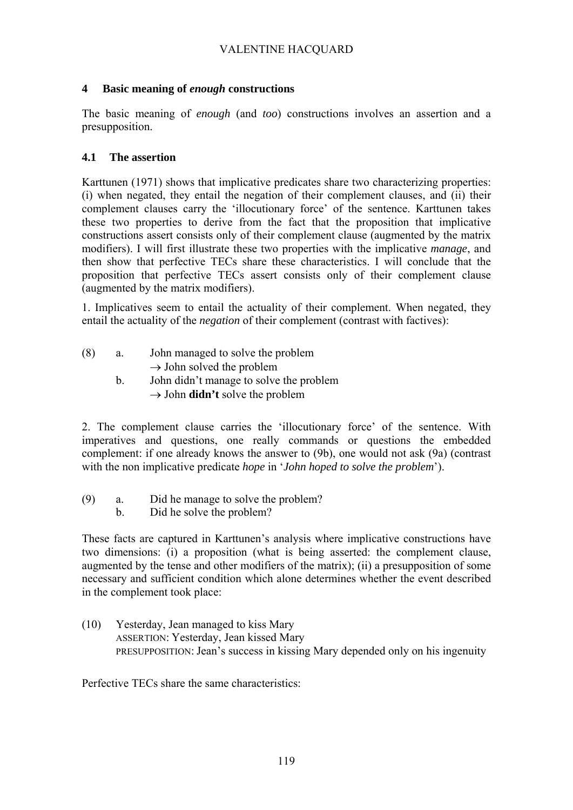## **4 Basic meaning of** *enough* **constructions**

The basic meaning of *enough* (and *too*) constructions involves an assertion and a presupposition.

#### **4.1 The assertion**

Karttunen (1971) shows that implicative predicates share two characterizing properties: (i) when negated, they entail the negation of their complement clauses, and (ii) their complement clauses carry the 'illocutionary force' of the sentence. Karttunen takes these two properties to derive from the fact that the proposition that implicative constructions assert consists only of their complement clause (augmented by the matrix modifiers). I will first illustrate these two properties with the implicative *manage*, and then show that perfective TECs share these characteristics. I will conclude that the proposition that perfective TECs assert consists only of their complement clause (augmented by the matrix modifiers).

1. Implicatives seem to entail the actuality of their complement. When negated, they entail the actuality of the *negation* of their complement (contrast with factives):

- (8) a. John managed to solve the problem  $\rightarrow$  John solved the problem
	- b. John didn't manage to solve the problem → John **didn't** solve the problem

2. The complement clause carries the 'illocutionary force' of the sentence. With imperatives and questions, one really commands or questions the embedded complement: if one already knows the answer to (9b), one would not ask (9a) (contrast with the non implicative predicate *hope* in '*John hoped to solve the problem*').

- (9) a. Did he manage to solve the problem?
	- b. Did he solve the problem?

These facts are captured in Karttunen's analysis where implicative constructions have two dimensions: (i) a proposition (what is being asserted: the complement clause, augmented by the tense and other modifiers of the matrix); (ii) a presupposition of some necessary and sufficient condition which alone determines whether the event described in the complement took place:

(10) Yesterday, Jean managed to kiss Mary ASSERTION: Yesterday, Jean kissed Mary PRESUPPOSITION: Jean's success in kissing Mary depended only on his ingenuity

Perfective TECs share the same characteristics: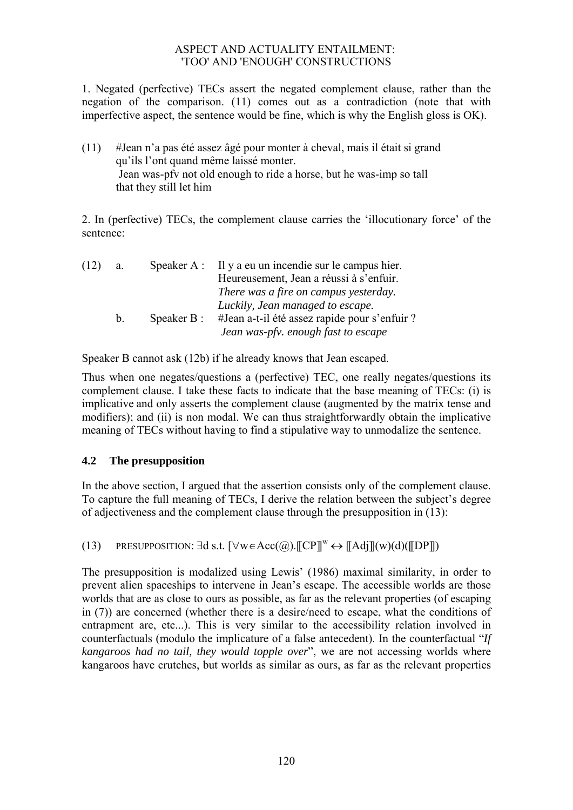1. Negated (perfective) TECs assert the negated complement clause, rather than the negation of the comparison. (11) comes out as a contradiction (note that with imperfective aspect, the sentence would be fine, which is why the English gloss is OK).

(11) #Jean n'a pas été assez âgé pour monter à cheval, mais il était si grand qu'ils l'ont quand même laissé monter. Jean was-pfv not old enough to ride a horse, but he was-imp so tall that they still let him

2. In (perfective) TECs, the complement clause carries the 'illocutionary force' of the sentence:

| (12) | a.      |            | Speaker $A$ : Il y a eu un incendie sur le campus hier. |
|------|---------|------------|---------------------------------------------------------|
|      |         |            | Heureusement, Jean a réussi à s'enfuir.                 |
|      |         |            | There was a fire on campus yesterday.                   |
|      |         |            | Luckily, Jean managed to escape.                        |
|      | $b_{-}$ | Speaker B: | #Jean a-t-il été assez rapide pour s'enfuir ?           |
|      |         |            | Jean was-pfv. enough fast to escape                     |

Speaker B cannot ask (12b) if he already knows that Jean escaped.

Thus when one negates/questions a (perfective) TEC, one really negates/questions its complement clause. I take these facts to indicate that the base meaning of TECs: (i) is implicative and only asserts the complement clause (augmented by the matrix tense and modifiers); and (ii) is non modal. We can thus straightforwardly obtain the implicative meaning of TECs without having to find a stipulative way to unmodalize the sentence.

## **4.2 The presupposition**

In the above section, I argued that the assertion consists only of the complement clause. To capture the full meaning of TECs, I derive the relation between the subject's degree of adjectiveness and the complement clause through the presupposition in (13):

(13) PRESUPPOSITION:  $\exists d \text{ s.t. } [\forall w \in Acc(\mathcal{Q}). \llbracket \mathbb{CP} \rrbracket^w \leftrightarrow \llbracket \mathbb{A} \text{d} \text{j} \rrbracket(w) (\text{d}) (\llbracket \mathbb{DP} \rrbracket)$ 

The presupposition is modalized using Lewis' (1986) maximal similarity, in order to prevent alien spaceships to intervene in Jean's escape. The accessible worlds are those worlds that are as close to ours as possible, as far as the relevant properties (of escaping in (7)) are concerned (whether there is a desire/need to escape, what the conditions of entrapment are, etc...). This is very similar to the accessibility relation involved in counterfactuals (modulo the implicature of a false antecedent). In the counterfactual "*If kangaroos had no tail, they would topple over*", we are not accessing worlds where kangaroos have crutches, but worlds as similar as ours, as far as the relevant properties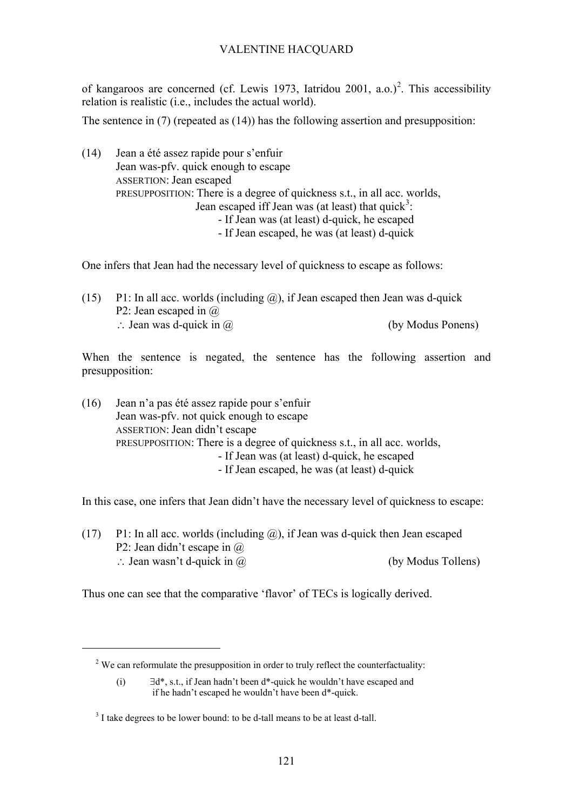of kangaroos are concerned (cf. Lewis 1973, Iatridou [2](#page-5-0)001, a.o.)<sup>2</sup>. This accessibility relation is realistic (i.e., includes the actual world).

The sentence in (7) (repeated as (14)) has the following assertion and presupposition:

(14) Jean a été assez rapide pour s'enfuir Jean was-pfv. quick enough to escape ASSERTION: Jean escaped PRESUPPOSITION: There is a degree of quickness s.t., in all acc. worlds, Jean escaped iff Jean was (at least) that quick<sup>[3](#page-5-1)</sup>: - If Jean was (at least) d-quick, he escaped - If Jean escaped, he was (at least) d-quick

One infers that Jean had the necessary level of quickness to escape as follows:

(15) P1: In all acc. worlds (including  $(a)$ ), if Jean escaped then Jean was d-quick P2: Jean escaped in  $\omega$ ∴ Jean was d-quick in  $\omega$  (by Modus Ponens)

When the sentence is negated, the sentence has the following assertion and presupposition:

(16) Jean n'a pas été assez rapide pour s'enfuir Jean was-pfv. not quick enough to escape ASSERTION: Jean didn't escape PRESUPPOSITION: There is a degree of quickness s.t., in all acc. worlds, - If Jean was (at least) d-quick, he escaped - If Jean escaped, he was (at least) d-quick

In this case, one infers that Jean didn't have the necessary level of quickness to escape:

(17) P1: In all acc. worlds (including  $(a)$ ), if Jean was d-quick then Jean escaped P2: Jean didn't escape in @ ∴ Jean wasn't d-quick in  $\omega$  (by Modus Tollens)

Thus one can see that the comparative 'flavor' of TECs is logically derived.

<span id="page-5-0"></span>1

<sup>&</sup>lt;sup>2</sup> We can reformulate the presupposition in order to truly reflect the counterfactuality:

 <sup>(</sup>i) ∃d\*, s.t., if Jean hadn't been d\*-quick he wouldn't have escaped and if he hadn't escaped he wouldn't have been d\*-quick.

<span id="page-5-1"></span> $3<sup>3</sup>$  I take degrees to be lower bound: to be d-tall means to be at least d-tall.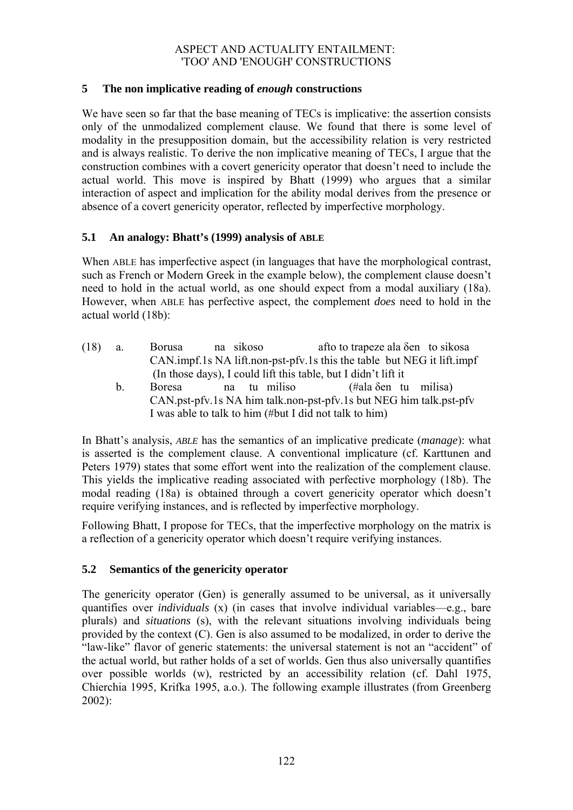### **5 The non implicative reading of** *enough* **constructions**

We have seen so far that the base meaning of TECs is implicative: the assertion consists only of the unmodalized complement clause. We found that there is some level of modality in the presupposition domain, but the accessibility relation is very restricted and is always realistic. To derive the non implicative meaning of TECs, I argue that the construction combines with a covert genericity operator that doesn't need to include the actual world. This move is inspired by Bhatt (1999) who argues that a similar interaction of aspect and implication for the ability modal derives from the presence or absence of a covert genericity operator, reflected by imperfective morphology.

### **5.1 An analogy: Bhatt's (1999) analysis of ABLE**

When ABLE has imperfective aspect (in languages that have the morphological contrast, such as French or Modern Greek in the example below), the complement clause doesn't need to hold in the actual world, as one should expect from a modal auxiliary (18a). However, when ABLE has perfective aspect, the complement *does* need to hold in the actual world (18b):

- (18) a. Borusa na sikoso afto to trapeze ala δen to sikosa CAN.impf.1s NA lift.non-pst-pfv.1s this the table but NEG it lift.impf (In those days), I could lift this table, but I didn't lift it
	- b. Boresa na tu miliso (#ala δen tu milisa) CAN.pst-pfv.1s NA him talk.non-pst-pfv.1s but NEG him talk.pst-pfv I was able to talk to him (#but I did not talk to him)

In Bhatt's analysis, *ABLE* has the semantics of an implicative predicate (*manage*): what is asserted is the complement clause. A conventional implicature (cf. Karttunen and Peters 1979) states that some effort went into the realization of the complement clause. This yields the implicative reading associated with perfective morphology (18b). The modal reading (18a) is obtained through a covert genericity operator which doesn't require verifying instances, and is reflected by imperfective morphology.

Following Bhatt, I propose for TECs, that the imperfective morphology on the matrix is a reflection of a genericity operator which doesn't require verifying instances.

#### **5.2 Semantics of the genericity operator**

The genericity operator (Gen) is generally assumed to be universal, as it universally quantifies over *individuals* (x) (in cases that involve individual variables—e.g., bare plurals) and *situations* (s), with the relevant situations involving individuals being provided by the context (C). Gen is also assumed to be modalized, in order to derive the "law-like" flavor of generic statements: the universal statement is not an "accident" of the actual world, but rather holds of a set of worlds. Gen thus also universally quantifies over possible worlds (w), restricted by an accessibility relation (cf. Dahl 1975, Chierchia 1995, Krifka 1995, a.o.). The following example illustrates (from Greenberg 2002):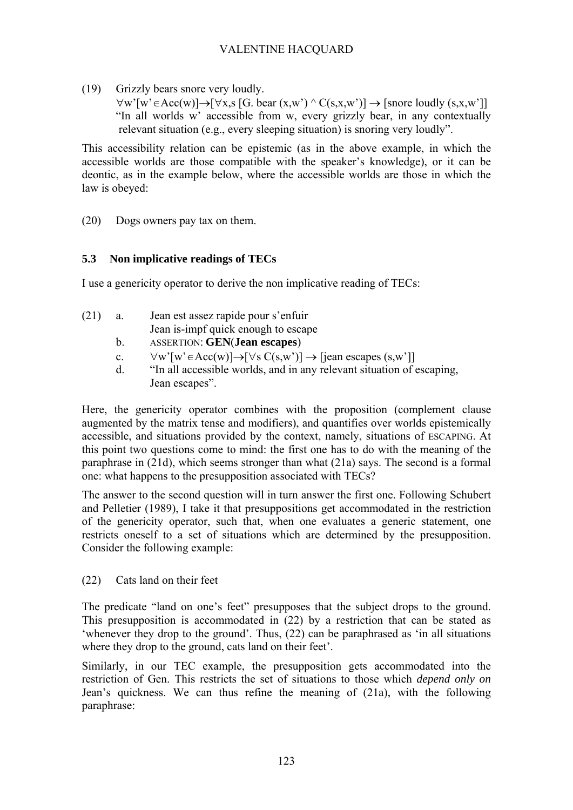(19) Grizzly bears snore very loudly.

 $\forall w'[w' \in Acc(w)] \rightarrow [\forall x, s [G. bear(x, w') \land C(s, x, w')] \rightarrow [snore \;]$  "In all worlds w' accessible from w, every grizzly bear, in any contextually relevant situation (e.g., every sleeping situation) is snoring very loudly".

This accessibility relation can be epistemic (as in the above example, in which the accessible worlds are those compatible with the speaker's knowledge), or it can be deontic, as in the example below, where the accessible worlds are those in which the law is obeyed:

(20) Dogs owners pay tax on them.

## **5.3 Non implicative readings of TECs**

I use a genericity operator to derive the non implicative reading of TECs:

- (21) a. Jean est assez rapide pour s'enfuir Jean is-impf quick enough to escape
	- b. ASSERTION: **GEN**(**Jean escapes**)
	- c.  $\forall w' [w' \in Acc(w)] \rightarrow [\forall s C(s,w')] \rightarrow [jean \; escapes (s,w')]$
	- d. "In all accessible worlds, and in any relevant situation of escaping, Jean escapes".

Here, the genericity operator combines with the proposition (complement clause augmented by the matrix tense and modifiers), and quantifies over worlds epistemically accessible, and situations provided by the context, namely, situations of ESCAPING. At this point two questions come to mind: the first one has to do with the meaning of the paraphrase in (21d), which seems stronger than what (21a) says. The second is a formal one: what happens to the presupposition associated with TECs?

The answer to the second question will in turn answer the first one. Following Schubert and Pelletier (1989), I take it that presuppositions get accommodated in the restriction of the genericity operator, such that, when one evaluates a generic statement, one restricts oneself to a set of situations which are determined by the presupposition. Consider the following example:

(22) Cats land on their feet

The predicate "land on one's feet" presupposes that the subject drops to the ground. This presupposition is accommodated in (22) by a restriction that can be stated as 'whenever they drop to the ground'. Thus, (22) can be paraphrased as 'in all situations where they drop to the ground, cats land on their feet'.

Similarly, in our TEC example, the presupposition gets accommodated into the restriction of Gen. This restricts the set of situations to those which *depend only on*  Jean's quickness. We can thus refine the meaning of (21a), with the following paraphrase: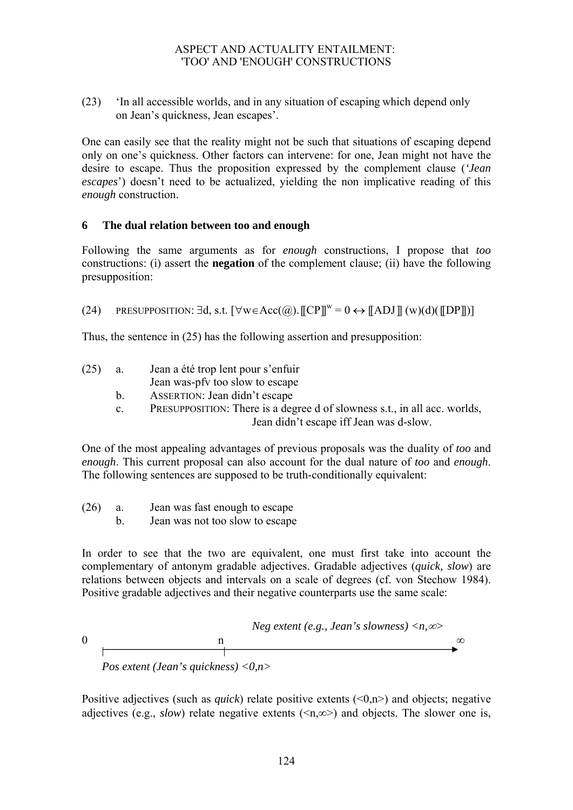(23) 'In all accessible worlds, and in any situation of escaping which depend only on Jean's quickness, Jean escapes'.

One can easily see that the reality might not be such that situations of escaping depend only on one's quickness. Other factors can intervene: for one, Jean might not have the desire to escape. Thus the proposition expressed by the complement clause (*'Jean escapes*') doesn't need to be actualized, yielding the non implicative reading of this *enough* construction.

### **6 The dual relation between too and enough**

Following the same arguments as for *enough* constructions, I propose that *too*  constructions: (i) assert the **negation** of the complement clause; (ii) have the following presupposition:

(24) PRESUPPOSITION:  $\exists d, s.t. \forall w \in Acc(\mathcal{Q}). \mathbb{C}P \mathbb{I}^w = 0 \leftrightarrow \mathbb{C}ADJ \mathbb{C}(\mathcal{W}) \cup \mathbb{C}P \mathbb{C}P \mathbb{C}$ 

Thus, the sentence in (25) has the following assertion and presupposition:

- (25) a. Jean a été trop lent pour s'enfuir
	- Jean was-pfv too slow to escape
	- b. ASSERTION: Jean didn't escape
	- c. PRESUPPOSITION: There is a degree d of slowness s.t., in all acc. worlds, Jean didn't escape iff Jean was d-slow.

One of the most appealing advantages of previous proposals was the duality of *too* and *enough*. This current proposal can also account for the dual nature of *too* and *enough*. The following sentences are supposed to be truth-conditionally equivalent:

- (26) a. Jean was fast enough to escape
	- b. Jean was not too slow to escape

In order to see that the two are equivalent, one must first take into account the complementary of antonym gradable adjectives. Gradable adjectives (*quick, slow*) are relations between objects and intervals on a scale of degrees (cf. von Stechow 1984). Positive gradable adjectives and their negative counterparts use the same scale:

$$
Neg \text{ extent } (e.g., Jean's \text{ slowness}) < n, \infty
$$
\nPos \text{ extent } (Jean's \text{ quickness}) < 0, n > \dots

Positive adjectives (such as *quick*) relate positive extents (<0,n>) and objects; negative adjectives (e.g., *slow*) relate negative extents ( $\leq n,\infty$ ) and objects. The slower one is,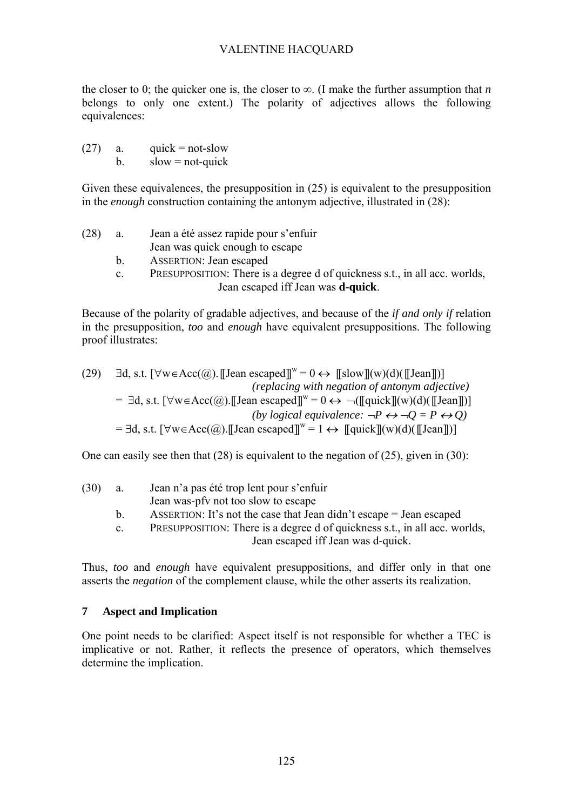the closer to 0; the quicker one is, the closer to  $\infty$ . (I make the further assumption that *n* belongs to only one extent.) The polarity of adjectives allows the following equivalences:

 $(27)$  a. quick = not-slow  $b.$  slow = not-quick

Given these equivalences, the presupposition in (25) is equivalent to the presupposition in the *enough* construction containing the antonym adjective, illustrated in (28):

(28) a. Jean a été assez rapide pour s'enfuir Jean was quick enough to escape b. ASSERTION: Jean escaped c. PRESUPPOSITION: There is a degree d of quickness s.t., in all acc. worlds, Jean escaped iff Jean was **d-quick**.

Because of the polarity of gradable adjectives, and because of the *if and only if* relation in the presupposition, *too* and *enough* have equivalent presuppositions. The following proof illustrates:

(29) 
$$
\exists d, s.t. [\forall w \in Acc(\textcircled{a}). [[Jean escaped]]w = 0 \leftrightarrow [[slow]](w)(d)([[Jean]])]
$$
  
\n(*replacing with negation of antonym adjective*)  
\n $= \exists d, s.t. [\forall w \in Acc(\textcircled{a}). [[Jean escaped]]w = 0 \leftrightarrow \neg([quick]](w)(d)([[Jean]])]$   
\n(*by logical equivalence:*  $\neg P \leftrightarrow \neg Q = P \leftrightarrow Q$ )  
\n $= \exists d, s.t. [\forall w \in Acc(\textcircled{a}). [[Jean escaped]]w = 1 \leftrightarrow [[quick]](w)(d)([[Jean]])]$ 

One can easily see then that (28) is equivalent to the negation of (25), given in (30):

| (30) | a.          | Jean n'a pas été trop lent pour s'enfuir                                   |  |
|------|-------------|----------------------------------------------------------------------------|--|
|      |             | Jean was-pfy not too slow to escape                                        |  |
|      | h           | ASSERTION: It's not the case that Jean didn't escape $=$ Jean escaped      |  |
|      | $c_{\cdot}$ | PRESUPPOSITION: There is a degree d of quickness s.t., in all acc. worlds, |  |
|      |             | Jean escaped iff Jean was d-quick.                                         |  |

Thus, *too* and *enough* have equivalent presuppositions, and differ only in that one asserts the *negation* of the complement clause, while the other asserts its realization.

## **7 Aspect and Implication**

One point needs to be clarified: Aspect itself is not responsible for whether a TEC is implicative or not. Rather, it reflects the presence of operators, which themselves determine the implication.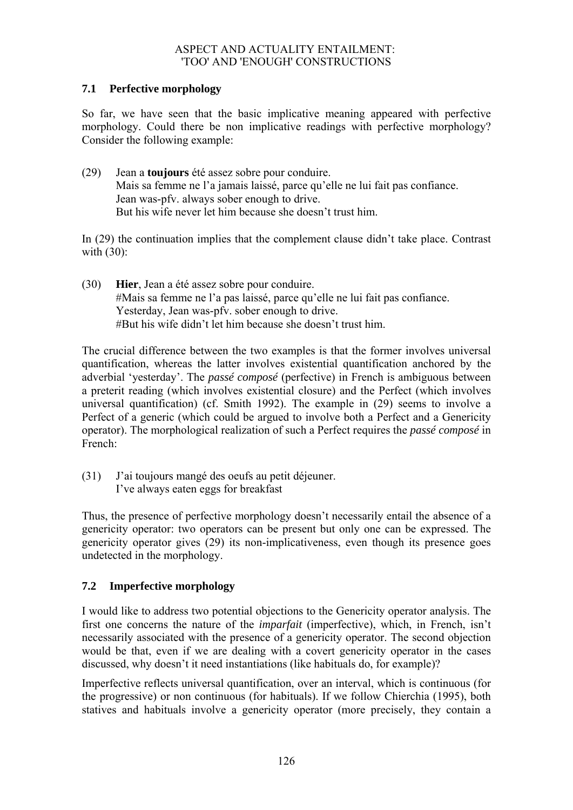## **7.1 Perfective morphology**

So far, we have seen that the basic implicative meaning appeared with perfective morphology. Could there be non implicative readings with perfective morphology? Consider the following example:

(29) Jean a **toujours** été assez sobre pour conduire. Mais sa femme ne l'a jamais laissé, parce qu'elle ne lui fait pas confiance. Jean was-pfv. always sober enough to drive. But his wife never let him because she doesn't trust him.

In (29) the continuation implies that the complement clause didn't take place. Contrast with (30):

(30) **Hier**, Jean a été assez sobre pour conduire. #Mais sa femme ne l'a pas laissé, parce qu'elle ne lui fait pas confiance. Yesterday, Jean was-pfv. sober enough to drive. #But his wife didn't let him because she doesn't trust him.

The crucial difference between the two examples is that the former involves universal quantification, whereas the latter involves existential quantification anchored by the adverbial 'yesterday'. The *passé composé* (perfective) in French is ambiguous between a preterit reading (which involves existential closure) and the Perfect (which involves universal quantification) (cf. Smith 1992). The example in (29) seems to involve a Perfect of a generic (which could be argued to involve both a Perfect and a Genericity operator). The morphological realization of such a Perfect requires the *passé composé* in French:

(31) J'ai toujours mangé des oeufs au petit déjeuner. I've always eaten eggs for breakfast

Thus, the presence of perfective morphology doesn't necessarily entail the absence of a genericity operator: two operators can be present but only one can be expressed. The genericity operator gives (29) its non-implicativeness, even though its presence goes undetected in the morphology.

## **7.2 Imperfective morphology**

I would like to address two potential objections to the Genericity operator analysis. The first one concerns the nature of the *imparfait* (imperfective), which, in French, isn't necessarily associated with the presence of a genericity operator. The second objection would be that, even if we are dealing with a covert genericity operator in the cases discussed, why doesn't it need instantiations (like habituals do, for example)?

Imperfective reflects universal quantification, over an interval, which is continuous (for the progressive) or non continuous (for habituals). If we follow Chierchia (1995), both statives and habituals involve a genericity operator (more precisely, they contain a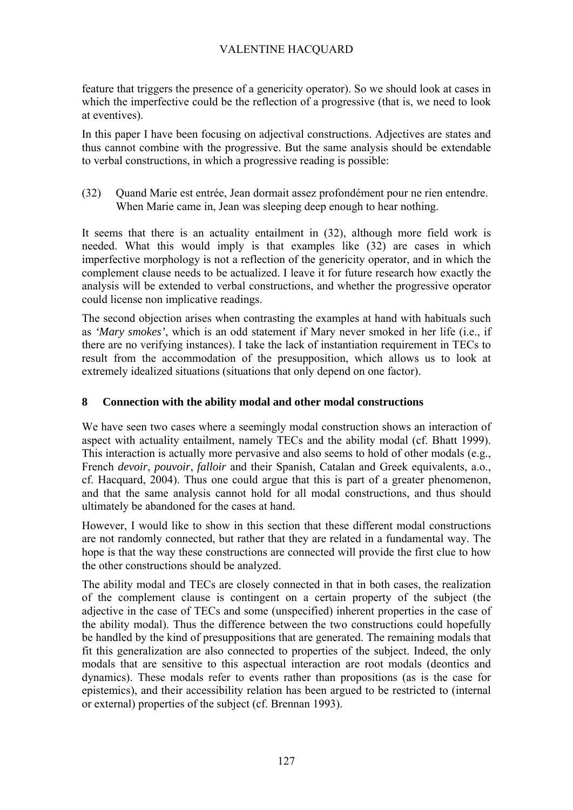feature that triggers the presence of a genericity operator). So we should look at cases in which the imperfective could be the reflection of a progressive (that is, we need to look at eventives).

In this paper I have been focusing on adjectival constructions. Adjectives are states and thus cannot combine with the progressive. But the same analysis should be extendable to verbal constructions, in which a progressive reading is possible:

(32) Quand Marie est entrée, Jean dormait assez profondément pour ne rien entendre. When Marie came in, Jean was sleeping deep enough to hear nothing.

It seems that there is an actuality entailment in (32), although more field work is needed. What this would imply is that examples like (32) are cases in which imperfective morphology is not a reflection of the genericity operator, and in which the complement clause needs to be actualized. I leave it for future research how exactly the analysis will be extended to verbal constructions, and whether the progressive operator could license non implicative readings.

The second objection arises when contrasting the examples at hand with habituals such as *'Mary smokes'*, which is an odd statement if Mary never smoked in her life (i.e., if there are no verifying instances). I take the lack of instantiation requirement in TECs to result from the accommodation of the presupposition, which allows us to look at extremely idealized situations (situations that only depend on one factor).

## **8 Connection with the ability modal and other modal constructions**

We have seen two cases where a seemingly modal construction shows an interaction of aspect with actuality entailment, namely TECs and the ability modal (cf. Bhatt 1999). This interaction is actually more pervasive and also seems to hold of other modals (e.g., French *devoir*, *pouvoir*, *falloir* and their Spanish, Catalan and Greek equivalents, a.o., cf. Hacquard, 2004). Thus one could argue that this is part of a greater phenomenon, and that the same analysis cannot hold for all modal constructions, and thus should ultimately be abandoned for the cases at hand.

However, I would like to show in this section that these different modal constructions are not randomly connected, but rather that they are related in a fundamental way. The hope is that the way these constructions are connected will provide the first clue to how the other constructions should be analyzed.

The ability modal and TECs are closely connected in that in both cases, the realization of the complement clause is contingent on a certain property of the subject (the adjective in the case of TECs and some (unspecified) inherent properties in the case of the ability modal). Thus the difference between the two constructions could hopefully be handled by the kind of presuppositions that are generated. The remaining modals that fit this generalization are also connected to properties of the subject. Indeed, the only modals that are sensitive to this aspectual interaction are root modals (deontics and dynamics). These modals refer to events rather than propositions (as is the case for epistemics), and their accessibility relation has been argued to be restricted to (internal or external) properties of the subject (cf. Brennan 1993).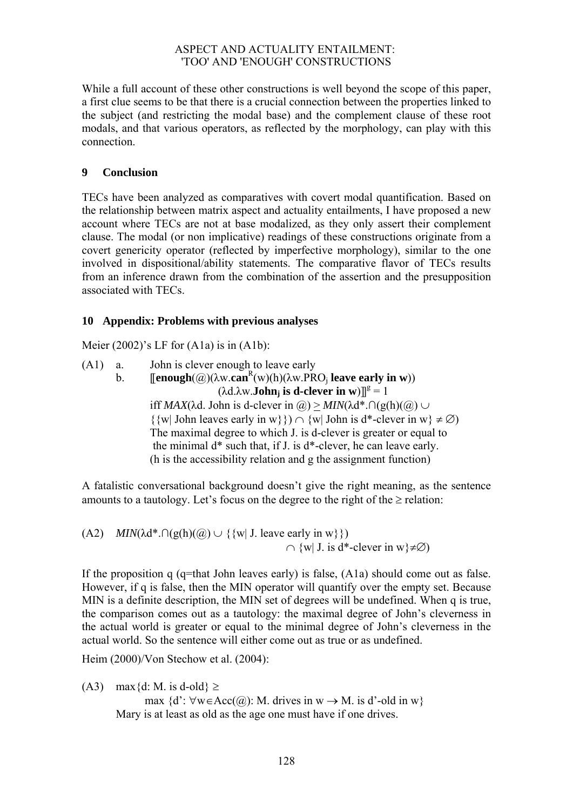While a full account of these other constructions is well beyond the scope of this paper, a first clue seems to be that there is a crucial connection between the properties linked to the subject (and restricting the modal base) and the complement clause of these root modals, and that various operators, as reflected by the morphology, can play with this connection.

## **9 Conclusion**

TECs have been analyzed as comparatives with covert modal quantification. Based on the relationship between matrix aspect and actuality entailments, I have proposed a new account where TECs are not at base modalized, as they only assert their complement clause. The modal (or non implicative) readings of these constructions originate from a covert genericity operator (reflected by imperfective morphology), similar to the one involved in dispositional/ability statements. The comparative flavor of TECs results from an inference drawn from the combination of the assertion and the presupposition associated with TECs.

## **10 Appendix: Problems with previous analyses**

Meier  $(2002)$ 's LF for  $(A1a)$  is in  $(A1b)$ :

(A1) a. John is clever enough to leave early b. **[[enough** $(\mathcal{Q})(\lambda w \cdot \text{can}^R(w)(h)(\lambda w \cdot PRO_j)$  **leave early in w**))  $(\lambda d. \lambda w. \textbf{John}_j \text{ is d-clever in } w)$ <sup>g</sup> = 1 iff *MAX*( $\lambda$ d. John is d-clever in  $\omega$ ) > *MIN*( $\lambda$ d<sup>\*</sup>. ∩(g(h)( $\omega$ ) ∪  $\{w | John leaves early in w\}\}\cap \{w | John is d*-clever in w\} \neq \emptyset$ The maximal degree to which J. is d-clever is greater or equal to the minimal d\* such that, if J. is d\*-clever, he can leave early. (h is the accessibility relation and g the assignment function)

A fatalistic conversational background doesn't give the right meaning, as the sentence amounts to a tautology. Let's focus on the degree to the right of the  $\geq$  relation:

(A2) *MIN*( $\lambda$ d<sup>\*</sup>.∩(g(h)( $\omega$ )  $\cup$  {{w| J. leave early in w}})  $\cap$  {w| J. is d<sup>\*</sup>-clever in w}≠ $\emptyset$ }

If the proposition q (q=that John leaves early) is false, (A1a) should come out as false. However, if q is false, then the MIN operator will quantify over the empty set. Because MIN is a definite description, the MIN set of degrees will be undefined. When q is true, the comparison comes out as a tautology: the maximal degree of John's cleverness in the actual world is greater or equal to the minimal degree of John's cleverness in the actual world. So the sentence will either come out as true or as undefined.

Heim (2000)/Von Stechow et al. (2004):

(A3) max{d: M. is d-old}  $\ge$ 

max  $\{d' : \forall w \in Acc(Q) : M$ . drives in  $w \to M$ . is d'-old in w $\}$ Mary is at least as old as the age one must have if one drives.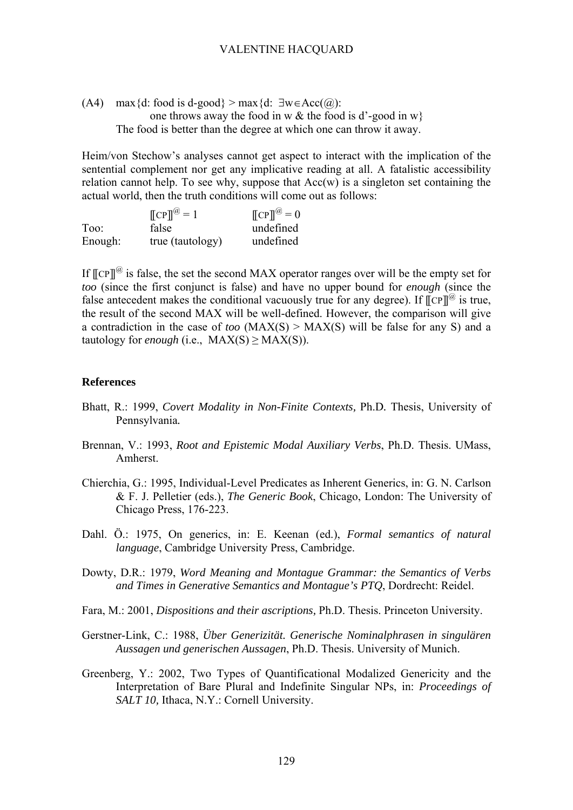(A4) max{d: food is d-good} > max{d:  $\exists w \in Acc(Q)$ : one throws away the food in w  $\&$  the food is d'-good in w} The food is better than the degree at which one can throw it away.

Heim/von Stechow's analyses cannot get aspect to interact with the implication of the sentential complement nor get any implicative reading at all. A fatalistic accessibility relation cannot help. To see why, suppose that  $Acc(w)$  is a singleton set containing the actual world, then the truth conditions will come out as follows:

|         | $\llbracket \text{CP} \rrbracket^{\omega} = 1$ | $\llbracket \text{CP} \rrbracket^{\omega} = 0$ |
|---------|------------------------------------------------|------------------------------------------------|
| Too:    | false                                          | undefined                                      |
| Enough: | true (tautology)                               | undefined                                      |

If  $[[CP]]^@$  is false, the set the second MAX operator ranges over will be the empty set for *too* (since the first conjunct is false) and have no upper bound for *enough* (since the false antecedent makes the conditional vacuously true for any degree). If  $\mathbb{C}$ P $\mathbb{I}^{\omega}$  is true, the result of the second MAX will be well-defined. However, the comparison will give a contradiction in the case of *too* (MAX(S) > MAX(S) will be false for any S) and a tautology for *enough* (i.e.,  $MAX(S) \ge MAX(S)$ ).

#### **References**

- Bhatt, R.: 1999, *Covert Modality in Non-Finite Contexts,* Ph.D*.* Thesis, University of Pennsylvania*.*
- Brennan, V.: 1993, *Root and Epistemic Modal Auxiliary Verbs*, Ph.D. Thesis. UMass, Amherst.
- Chierchia, G.: 1995, Individual-Level Predicates as Inherent Generics, in: G. N. Carlson & F. J. Pelletier (eds.), *The Generic Book*, Chicago, London: The University of Chicago Press, 176-223.
- Dahl. Ö.: 1975, On generics, in: E. Keenan (ed.), *Formal semantics of natural language*, Cambridge University Press, Cambridge.
- Dowty, D.R.: 1979, *Word Meaning and Montague Grammar: the Semantics of Verbs and Times in Generative Semantics and Montague's PTQ*, Dordrecht: Reidel.
- Fara, M.: 2001, *Dispositions and their ascriptions,* Ph.D. Thesis. Princeton University.
- Gerstner-Link, C.: 1988, *Über Generizität. Generische Nominalphrasen in singulären Aussagen und generischen Aussagen*, Ph.D. Thesis. University of Munich.
- Greenberg, Y.: 2002, Two Types of Quantificational Modalized Genericity and the Interpretation of Bare Plural and Indefinite Singular NPs, in: *Proceedings of SALT 10, Ithaca, N.Y.: Cornell University.*